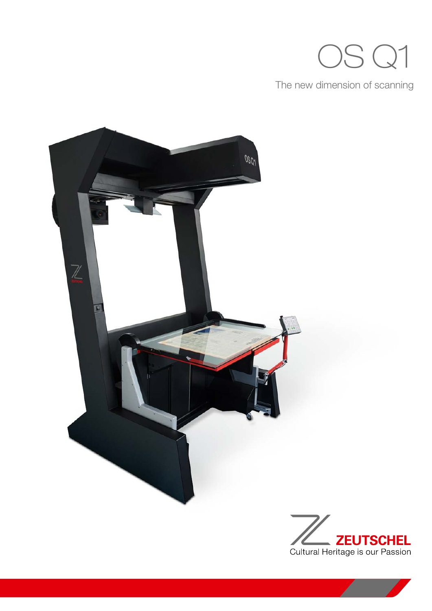# OS Q1

The new dimension of scanning



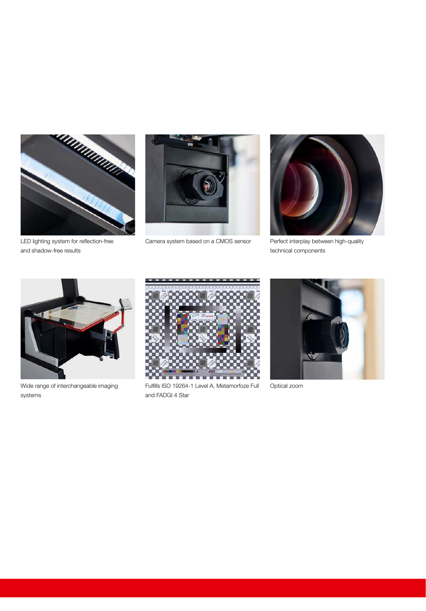

and shadow-free results



Camera system based on a CMOS sensor



Perfect interplay between high-quality technical components



Wide range of interchangeable imaging systems



Fulfills ISO 19264-1 Level A, Metamorfoze Full and FADGI 4 Star



Optical zoom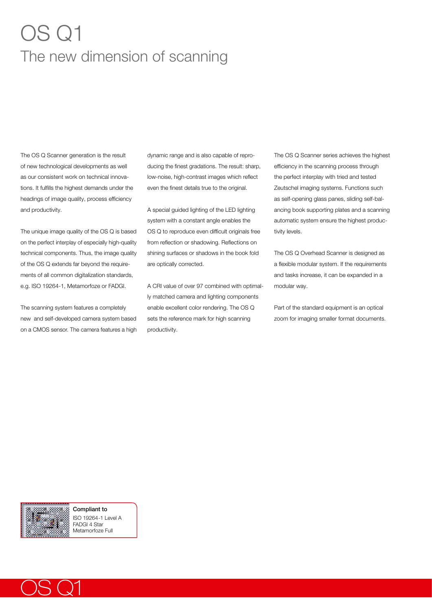## OS Q1 The new dimension of scanning

The OS Q Scanner generation is the result of new technological developments as well as our consistent work on technical innovations. It fulfills the highest demands under the headings of image quality, process efficiency and productivity.

The unique image quality of the OS Q is based on the perfect interplay of especially high-quality technical components. Thus, the image quality of the OS Q extends far beyond the requirements of all common digitalization standards, e.g. ISO 19264-1, Metamorfoze or FADGI.

The scanning system features a completely new and self-developed camera system based on a CMOS sensor. The camera features a high dynamic range and is also capable of reproducing the finest gradations. The result: sharp, low-noise, high-contrast images which reflect even the finest details true to the original.

A special guided lighting of the LED lighting system with a constant angle enables the OS Q to reproduce even difficult originals free from reflection or shadowing. Reflections on shining surfaces or shadows in the book fold are optically corrected.

A CRI value of over 97 combined with optimally matched camera and lighting components enable excellent color rendering. The OS Q sets the reference mark for high scanning productivity.

The OS Q Scanner series achieves the highest efficiency in the scanning process through the perfect interplay with tried and tested Zeutschel imaging systems. Functions such as self-opening glass panes, sliding self-balancing book supporting plates and a scanning automatic system ensure the highest productivity levels.

The OS Q Overhead Scanner is designed as a flexible modular system. If the requirements and tasks increase, it can be expanded in a modular way.

Part of the standard equipment is an optical zoom for imaging smaller format documents.



Compliant to ISO 19264-1 Level A FADGI 4 Star Metamorfoze Full

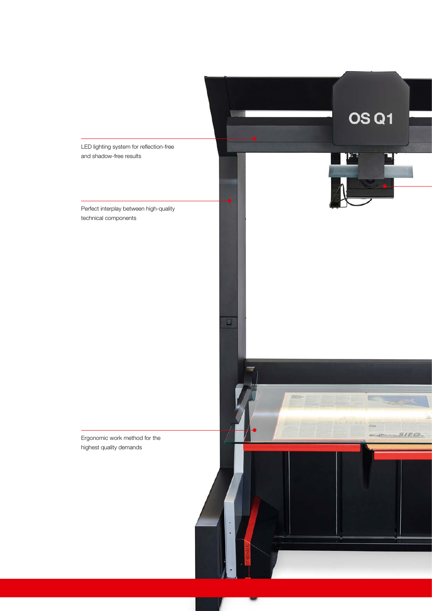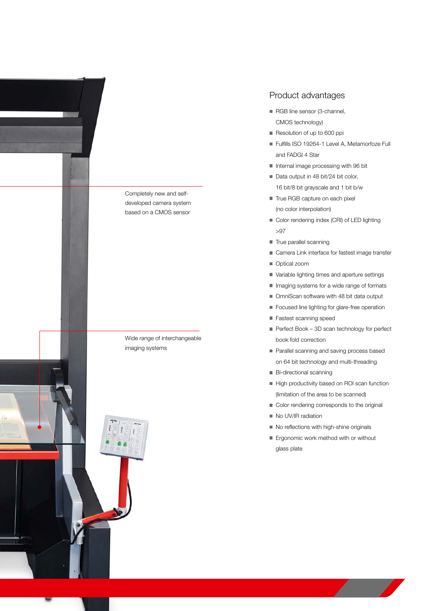

#### Product advantages

- RGB line sensor (3-channel, CMOS technology)
- Resolution of up to 600 ppi
- Fulfills ISO 19264-1 Level A, Metamorfoze Full and FADGI 4 Star
- Internal image processing with 96 bit
- Data output in 48 bit/24 bit color, 16 bit/8 bit grayscale and 1 bit b/w
- True RGB capture on each pixel (no color interpolation)
- Color rendering index (CRI) of LED lighting >97
- True parallel scanning
- Camera Link interface for fastest image transfer
- Optical zoom
- Variable lighting times and aperture settings
- **Inaging systems for a wide range of formats**
- OmniScan software with 48 bit data output
- **Focused line lighting for glare-free operation**
- **Fastest scanning speed**
- Perfect Book 3D scan technology for perfect book fold correction
- Parallel scanning and saving process based on 64 bit technology and multi-threading
- Bi-directional scanning
- High productivity based on ROI scan function (limitation of the area to be scanned)
- Color rendering corresponds to the original
- No UV/IR radiation
- No reflections with high-shine originals
- **Ergonomic work method with or without** glass plate